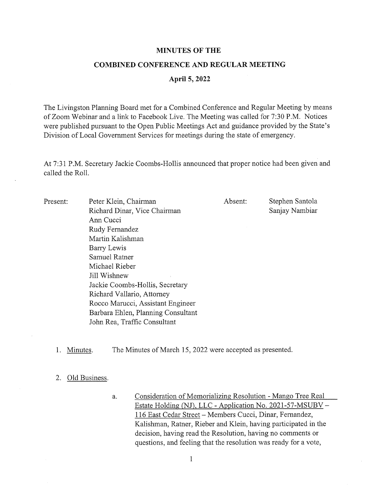## MINUTES OF THE

#### COMBINED CONFERENCE AND REGULAR MEETING

### April 5, 2022

The Livingston Planning Board met for a Combined Conference and Regular Meeting by means of Zoom Webinar and <sup>a</sup> link to Facebook Live. The Meeting was called for 7:30 P.M. Notices were published pursuant to the Open Public Meetings Act and guidance provided by the State's Division of Local Government Services for meetings during the state of emergency.

At 7:31 P.M. Secretary Jackie Coombs-Hollis announced that proper notice had been given and called the Roll.

| Present: | Peter Klein, Chairman              | Absent: | Stephen Santola |
|----------|------------------------------------|---------|-----------------|
|          | Richard Dinar, Vice Chairman       |         | Sanjay Nambiar  |
|          | Ann Cucci                          |         |                 |
|          | Rudy Fernandez                     |         |                 |
|          | Martin Kalishman                   |         |                 |
|          | Barry Lewis                        |         |                 |
|          | Samuel Ratner                      |         |                 |
|          | Michael Rieber                     |         |                 |
|          | Jill Wishnew                       |         |                 |
|          | Jackie Coombs-Hollis, Secretary    |         |                 |
|          | Richard Vallario, Attorney         |         |                 |
|          | Rocco Marucci, Assistant Engineer  |         |                 |
|          | Barbara Ehlen, Planning Consultant |         |                 |
|          | John Rea, Traffic Consultant       |         |                 |

1. Minutes. The Minutes of March 15, 2022 were accepted as presented.

#### 2. Old Business.

a. Consideration of Memorializing Resolution - Mango Tree Real Estate Holding (NJ), LLC - Application No. 2021-57-MSUBV -116 East Cedar Street — Members Cucci, Dinar, Fernandez, Kalishman, Ratner, Rieber and Klein, having participated in the decision, having read the Resolution, having no comments or questions, and feeling that the resolution was ready for a vote,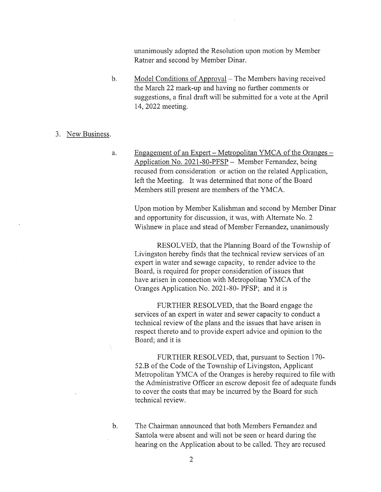unanimously adopted the Resolution upon motion by Member Ratner and second by Member Dinar.

b. Model Conditions of Approval — The Members having received the March 22 mark-up and having no further comments or suggestions, <sup>a</sup> final draft will be submitted for <sup>a</sup> vote at the April 14, 2022 meeting.

# 3. New Business.

a. Engagement of an Expert — Metropolitan YMCA of the Oranges — Application No. 202 1-80-PFSP — Member Fernandez, being recused from consideration or action on the related Application, left the Meeting. It was determined that none of the Board Members still present are members of the YMCA.

Upon motion by Member Kalishman and second by Member Dinar and opportunity for discussion, it was, with Alternate No. 2 Wishnew in place and stead of Member Fernandez, unanimously

RESOLVED, that the Planning Board of the Township of Livingston hereby finds that the technical review services of an expert in water and sewage capacity, to render advice to the Board, is required for proper consideration of issues that have arisen in connection with Metropolitan YMCA of the Oranges Application No. 2021-80- PFSP; and it is

FURTHER RESOLVED, that the Board engage the services of an expert in water and sewer capacity to conduct <sup>a</sup> technical review of the plans and the issues that have arisen in respect thereto and to provide expert advice and opinion to the Board; and it is

FURTHER RESOLVED, that, pursuant to Section 170- 52.B of the Code of the Township of Livingston, Applicant Metropolitan YMCA of the Oranges is hereby required to file with the Administrative Officer an escrow deposit fee of adequate funds to cover the costs that may be incurred by the Board for such technical review.

b. The Chairman announced that both Members Fernandez and Santola were absent and will not be seen or heard during the hearing on the Application about to be called. They are recused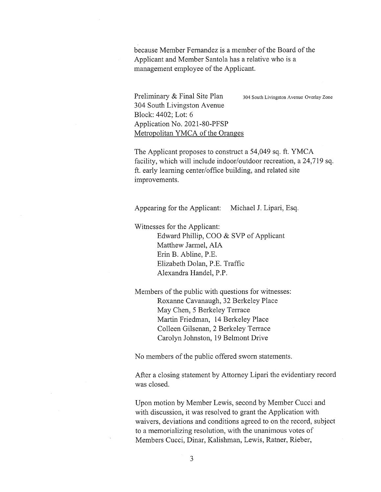because Member Fernandez is <sup>a</sup> member of the Board of the Applicant and Member Santola has a relative who is a management employee of the Applicant.

Preliminary & Final Site Plan 304 South Livingston Avenue Overlay Zone 304 South Livingston Avenue Block: 4402; Lot: 6 Application No. 202 1-80-PFSP Metropolitan YMCA of the Oranges

The Applicant proposes to construct a 54,049 sq. ft. YMCA facility, which will include indoor/outdoor recreation, <sup>a</sup> 24,719 sq. ft. early learning center/office building, and related site improvements.

Appearing for the Applicant: Michael J. Lipari, Esq.

Witnesses for the Applicant: Edward Phillip, COO & SVP of Applicant Matthew Jarmel, AlA Erin B. Abline, P.E. Elizabeth Dolan, P.E. Traffic Alexandra Handel, P.P.

Members of the public with questions for witnesses: Roxanne Cavanaugh, 32 Berkeley Place May Chen, <sup>5</sup> Berkeley Terrace Martin Friedman, 14 Berkeley Place Colleen Gilsenan, 2 Berkeley Terrace Carolyn Johnston, 19 Belmont Drive

No members of the public offered sworn statements.

After <sup>a</sup> closing statement by Attorney Lipari the evidentiary record was closed.

Upon motion by Member Lewis, second by Member Cucci and with discussion, it was resolved to grant the Application with waivers, deviations and conditions agreed to on the record, subject to <sup>a</sup> memorializing resolution, with the unanimous votes of Members Cucci, Dinar, Kalishman, Lewis, Ratner, Rieber,